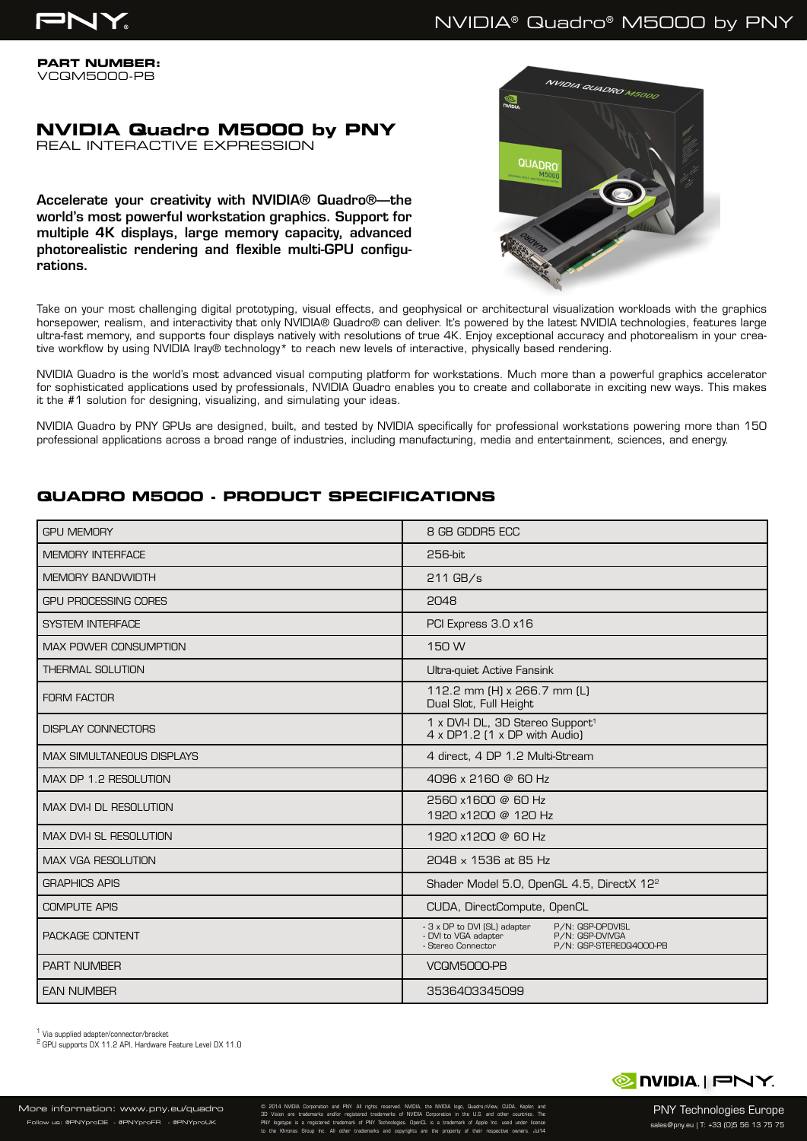

## NVIDIA® Quadro® M5000 by PNY

**PART NUMBER:** VCQM5000-PB

# **NVIDIA Quadro M5000 by PNY**

REAL INTERACTIVE EXPRESSION

Accelerate your creativity with NVIDIA® Quadro®—the world's most powerful workstation graphics. Support for multiple 4K displays, large memory capacity, advanced photorealistic rendering and flexible multi-GPU configurations.



Take on your most challenging digital prototyping, visual effects, and geophysical or architectural visualization workloads with the graphics horsepower, realism, and interactivity that only NVIDIA® Quadro® can deliver. It's powered by the latest NVIDIA technologies, features large ultra-fast memory, and supports four displays natively with resolutions of true 4K. Enjoy exceptional accuracy and photorealism in your creative workflow by using NVIDIA Iray® technology\* to reach new levels of interactive, physically based rendering.

NVIDIA Quadro is the world's most advanced visual computing platform for workstations. Much more than a powerful graphics accelerator for sophisticated applications used by professionals, NVIDIA Quadro enables you to create and collaborate in exciting new ways. This makes it the #1 solution for designing, visualizing, and simulating your ideas.

NVIDIA Quadro by PNY GPUs are designed, built, and tested by NVIDIA specifically for professional workstations powering more than 150 professional applications across a broad range of industries, including manufacturing, media and entertainment, sciences, and energy.

## **QUADRO M5000 - PRODUCT SPECIFICATIONS**

| <b>GPU MEMORY</b>                | 8 GB GDDR5 ECC                                                                                                                               |
|----------------------------------|----------------------------------------------------------------------------------------------------------------------------------------------|
| <b>MEMORY INTERFACE</b>          | 256-bit                                                                                                                                      |
| <b>MEMORY BANDWIDTH</b>          | $211$ GB/s                                                                                                                                   |
| <b>GPU PROCESSING CORES</b>      | 2048                                                                                                                                         |
| <b>SYSTEM INTERFACE</b>          | PCI Express 3.0 x16                                                                                                                          |
| <b>MAX POWER CONSUMPTION</b>     | 150 W                                                                                                                                        |
| <b>THERMAL SOLUTION</b>          | Ultra-quiet Active Fansink                                                                                                                   |
| <b>FORM FACTOR</b>               | 112.2 mm (H) x 266.7 mm (L)<br>Dual Slot, Full Height                                                                                        |
| <b>DISPLAY CONNECTORS</b>        | 1 x DVI-I DL, 3D Stereo Support <sup>1</sup><br>4 x DP1.2 (1 x DP with Audio)                                                                |
| <b>MAX SIMULTANEOUS DISPLAYS</b> | 4 direct, 4 DP 1.2 Multi-Stream                                                                                                              |
| MAX DP 1.2 RESOLUTION            | 4096 x 2160 @ 60 Hz                                                                                                                          |
| MAX DVI-I DL RESOLUTION          | 2560 x1600 @ 60 Hz<br>1920 x1200 @ 120 Hz                                                                                                    |
| <b>MAX DVI-I SL RESOLUTION</b>   | 1920 x1200 @ 60 Hz                                                                                                                           |
| <b>MAX VGA RESOLUTION</b>        | 2048 x 1536 at 85 Hz                                                                                                                         |
| <b>GRAPHICS APIS</b>             | Shader Model 5.0, OpenGL 4.5, DirectX 12 <sup>2</sup>                                                                                        |
| <b>COMPUTE APIS</b>              | CUDA, DirectCompute, OpenCL                                                                                                                  |
| PACKAGE CONTENT                  | - 3 x DP to DVI (SL) adapter<br>P/N: QSP-DPDVISL<br>- DVI to VGA adapter<br>P/N: QSP-DVIVGA<br>- Stereo Connector<br>P/N: QSP-STERE0Q4000-PB |
| <b>PART NUMBER</b>               | <b>VCQM5000-PB</b>                                                                                                                           |
| <b>EAN NUMBER</b>                | 3536403345099                                                                                                                                |

1 Via supplied adapter/connector/bracket

2 GPU supports DX 11.2 API, Hardware Feature Level DX 11.0



More information: www.pny.eu/quadro .<br>W us: @PNYproDE - @PNYproFR - @PNYproUK

© 2014 NVIDIA Corporation and PNY. All rights reserved. NVIDIA, the NVIDIA logo, Quadro,nView, CUDA, Kepler, and 3D Vision are trademarks and/or registered trademarks of NVIDIA Corporation in the U.S. and other countries. The PNY logotype is a registered trademark of PNY Technologies. OpenCL is a trademark of Apple Inc. used under license to the Khronos Group Inc. All other trademarks and copyrights are the property of their respective owners. Jul14